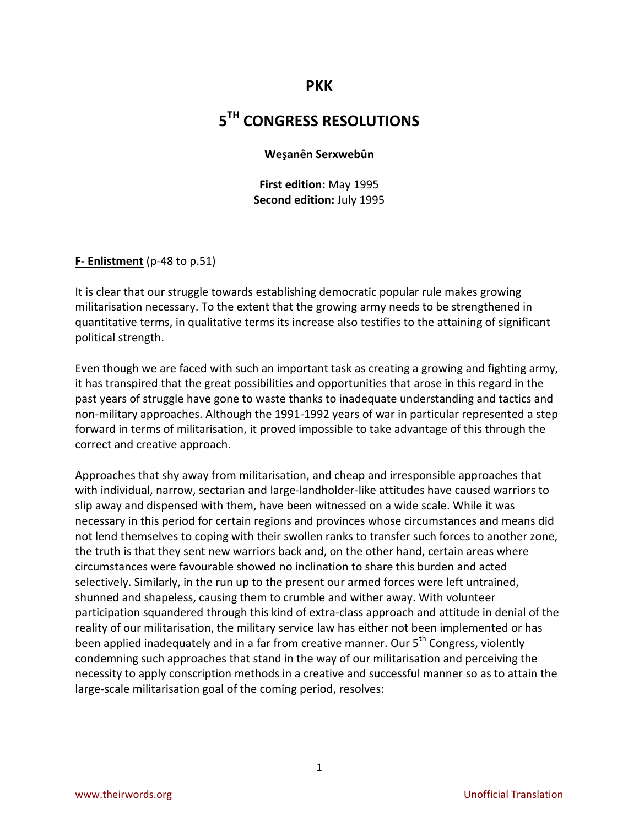# **PKK**

# **5 TH CONGRESS RESOLUTIONS**

#### **Weşanên Serxwebûn**

**First edition:** May 1995 **Second edition:** July 1995

#### **F- Enlistment** (p-48 to p.51)

It is clear that our struggle towards establishing democratic popular rule makes growing militarisation necessary. To the extent that the growing army needs to be strengthened in quantitative terms, in qualitative terms its increase also testifies to the attaining of significant political strength.

Even though we are faced with such an important task as creating a growing and fighting army, it has transpired that the great possibilities and opportunities that arose in this regard in the past years of struggle have gone to waste thanks to inadequate understanding and tactics and non-military approaches. Although the 1991-1992 years of war in particular represented a step forward in terms of militarisation, it proved impossible to take advantage of this through the correct and creative approach.

Approaches that shy away from militarisation, and cheap and irresponsible approaches that with individual, narrow, sectarian and large-landholder-like attitudes have caused warriors to slip away and dispensed with them, have been witnessed on a wide scale. While it was necessary in this period for certain regions and provinces whose circumstances and means did not lend themselves to coping with their swollen ranks to transfer such forces to another zone, the truth is that they sent new warriors back and, on the other hand, certain areas where circumstances were favourable showed no inclination to share this burden and acted selectively. Similarly, in the run up to the present our armed forces were left untrained, shunned and shapeless, causing them to crumble and wither away. With volunteer participation squandered through this kind of extra-class approach and attitude in denial of the reality of our militarisation, the military service law has either not been implemented or has been applied inadequately and in a far from creative manner. Our  $5<sup>th</sup>$  Congress, violently condemning such approaches that stand in the way of our militarisation and perceiving the necessity to apply conscription methods in a creative and successful manner so as to attain the large-scale militarisation goal of the coming period, resolves: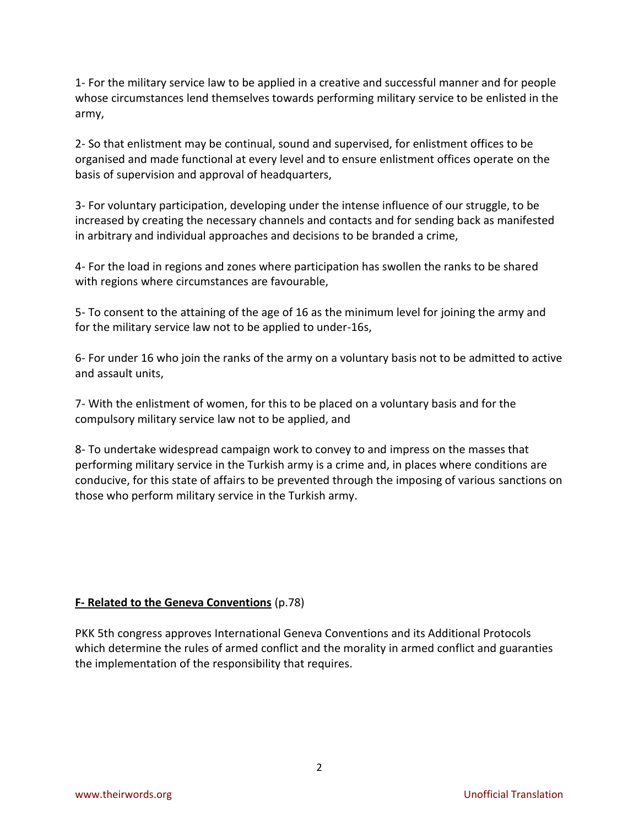1- For the military service law to be applied in a creative and successful manner and for people whose circumstances lend themselves towards performing military service to be enlisted in the army,

2- So that enlistment may be continual, sound and supervised, for enlistment offices to be organised and made functional at every level and to ensure enlistment offices operate on the basis of supervision and approval of headquarters,

3- For voluntary participation, developing under the intense influence of our struggle, to be increased by creating the necessary channels and contacts and for sending back as manifested in arbitrary and individual approaches and decisions to be branded a crime,

4- For the load in regions and zones where participation has swollen the ranks to be shared with regions where circumstances are favourable,

5- To consent to the attaining of the age of 16 as the minimum level for joining the army and for the military service law not to be applied to under-16s,

6- For under 16 who join the ranks of the army on a voluntary basis not to be admitted to active and assault units,

7- With the enlistment of women, for this to be placed on a voluntary basis and for the compulsory military service law not to be applied, and

8- To undertake widespread campaign work to convey to and impress on the masses that performing military service in the Turkish army is a crime and, in places where conditions are conducive, for this state of affairs to be prevented through the imposing of various sanctions on those who perform military service in the Turkish army.

# **F- Related to the Geneva Conventions** (p.78)

PKK 5th congress approves International Geneva Conventions and its Additional Protocols which determine the rules of armed conflict and the morality in armed conflict and guaranties the implementation of the responsibility that requires.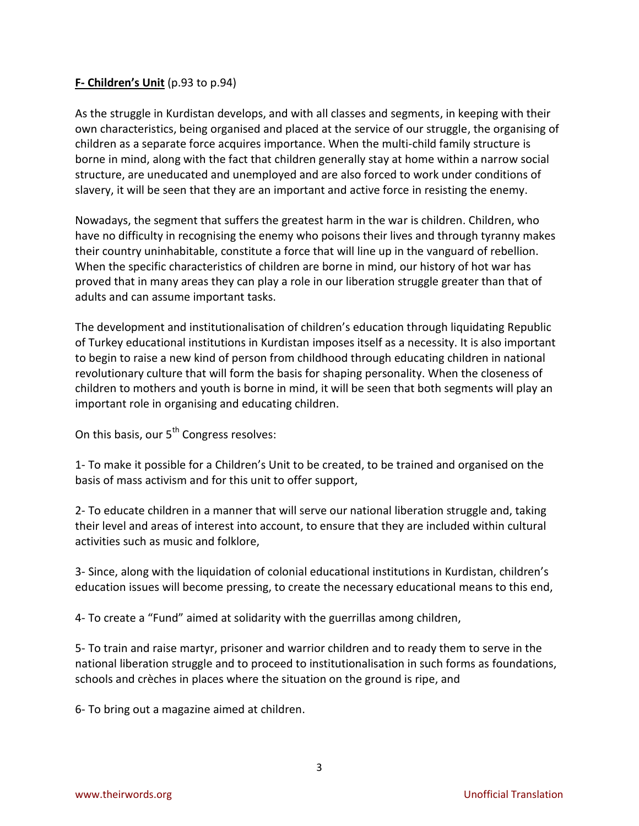### **F- Children's Unit** (p.93 to p.94)

As the struggle in Kurdistan develops, and with all classes and segments, in keeping with their own characteristics, being organised and placed at the service of our struggle, the organising of children as a separate force acquires importance. When the multi-child family structure is borne in mind, along with the fact that children generally stay at home within a narrow social structure, are uneducated and unemployed and are also forced to work under conditions of slavery, it will be seen that they are an important and active force in resisting the enemy.

Nowadays, the segment that suffers the greatest harm in the war is children. Children, who have no difficulty in recognising the enemy who poisons their lives and through tyranny makes their country uninhabitable, constitute a force that will line up in the vanguard of rebellion. When the specific characteristics of children are borne in mind, our history of hot war has proved that in many areas they can play a role in our liberation struggle greater than that of adults and can assume important tasks.

The development and institutionalisation of children's education through liquidating Republic of Turkey educational institutions in Kurdistan imposes itself as a necessity. It is also important to begin to raise a new kind of person from childhood through educating children in national revolutionary culture that will form the basis for shaping personality. When the closeness of children to mothers and youth is borne in mind, it will be seen that both segments will play an important role in organising and educating children.

On this basis, our 5<sup>th</sup> Congress resolves:

1- To make it possible for a Children's Unit to be created, to be trained and organised on the basis of mass activism and for this unit to offer support,

2- To educate children in a manner that will serve our national liberation struggle and, taking their level and areas of interest into account, to ensure that they are included within cultural activities such as music and folklore,

3- Since, along with the liquidation of colonial educational institutions in Kurdistan, children's education issues will become pressing, to create the necessary educational means to this end,

4- To create a "Fund" aimed at solidarity with the guerrillas among children,

5- To train and raise martyr, prisoner and warrior children and to ready them to serve in the national liberation struggle and to proceed to institutionalisation in such forms as foundations, schools and crèches in places where the situation on the ground is ripe, and

6- To bring out a magazine aimed at children.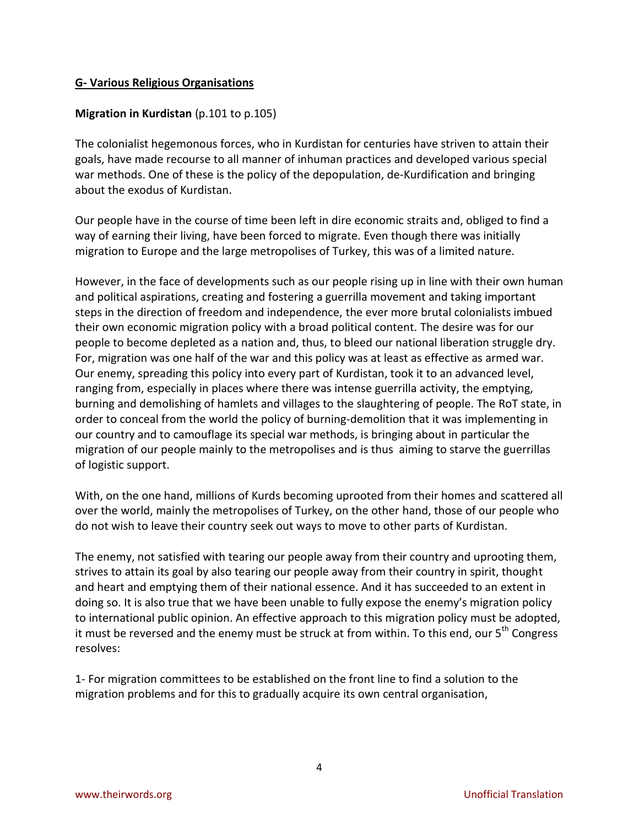### **G- Various Religious Organisations**

### **Migration in Kurdistan** (p.101 to p.105)

The colonialist hegemonous forces, who in Kurdistan for centuries have striven to attain their goals, have made recourse to all manner of inhuman practices and developed various special war methods. One of these is the policy of the depopulation, de-Kurdification and bringing about the exodus of Kurdistan.

Our people have in the course of time been left in dire economic straits and, obliged to find a way of earning their living, have been forced to migrate. Even though there was initially migration to Europe and the large metropolises of Turkey, this was of a limited nature.

However, in the face of developments such as our people rising up in line with their own human and political aspirations, creating and fostering a guerrilla movement and taking important steps in the direction of freedom and independence, the ever more brutal colonialists imbued their own economic migration policy with a broad political content. The desire was for our people to become depleted as a nation and, thus, to bleed our national liberation struggle dry. For, migration was one half of the war and this policy was at least as effective as armed war. Our enemy, spreading this policy into every part of Kurdistan, took it to an advanced level, ranging from, especially in places where there was intense guerrilla activity, the emptying, burning and demolishing of hamlets and villages to the slaughtering of people. The RoT state, in order to conceal from the world the policy of burning-demolition that it was implementing in our country and to camouflage its special war methods, is bringing about in particular the migration of our people mainly to the metropolises and is thus aiming to starve the guerrillas of logistic support.

With, on the one hand, millions of Kurds becoming uprooted from their homes and scattered all over the world, mainly the metropolises of Turkey, on the other hand, those of our people who do not wish to leave their country seek out ways to move to other parts of Kurdistan.

The enemy, not satisfied with tearing our people away from their country and uprooting them, strives to attain its goal by also tearing our people away from their country in spirit, thought and heart and emptying them of their national essence. And it has succeeded to an extent in doing so. It is also true that we have been unable to fully expose the enemy's migration policy to international public opinion. An effective approach to this migration policy must be adopted, it must be reversed and the enemy must be struck at from within. To this end, our 5<sup>th</sup> Congress resolves:

1- For migration committees to be established on the front line to find a solution to the migration problems and for this to gradually acquire its own central organisation,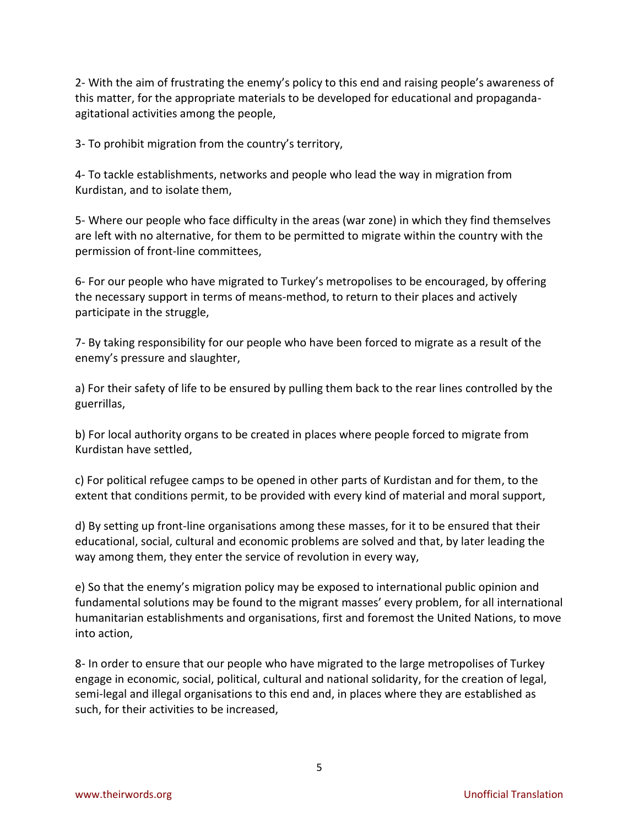2- With the aim of frustrating the enemy's policy to this end and raising people's awareness of this matter, for the appropriate materials to be developed for educational and propagandaagitational activities among the people,

3- To prohibit migration from the country's territory,

4- To tackle establishments, networks and people who lead the way in migration from Kurdistan, and to isolate them,

5- Where our people who face difficulty in the areas (war zone) in which they find themselves are left with no alternative, for them to be permitted to migrate within the country with the permission of front-line committees,

6- For our people who have migrated to Turkey's metropolises to be encouraged, by offering the necessary support in terms of means-method, to return to their places and actively participate in the struggle,

7- By taking responsibility for our people who have been forced to migrate as a result of the enemy's pressure and slaughter,

a) For their safety of life to be ensured by pulling them back to the rear lines controlled by the guerrillas,

b) For local authority organs to be created in places where people forced to migrate from Kurdistan have settled,

c) For political refugee camps to be opened in other parts of Kurdistan and for them, to the extent that conditions permit, to be provided with every kind of material and moral support,

d) By setting up front-line organisations among these masses, for it to be ensured that their educational, social, cultural and economic problems are solved and that, by later leading the way among them, they enter the service of revolution in every way,

e) So that the enemy's migration policy may be exposed to international public opinion and fundamental solutions may be found to the migrant masses' every problem, for all international humanitarian establishments and organisations, first and foremost the United Nations, to move into action,

8- In order to ensure that our people who have migrated to the large metropolises of Turkey engage in economic, social, political, cultural and national solidarity, for the creation of legal, semi-legal and illegal organisations to this end and, in places where they are established as such, for their activities to be increased,